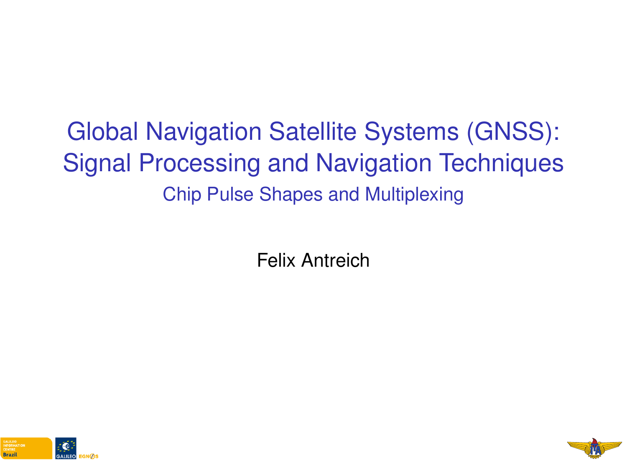# Global Navigation Satellite Systems (GNSS): Signal Processing and Navigation Techniques Chip Pulse Shapes and Multiplexing

Felix Antreich



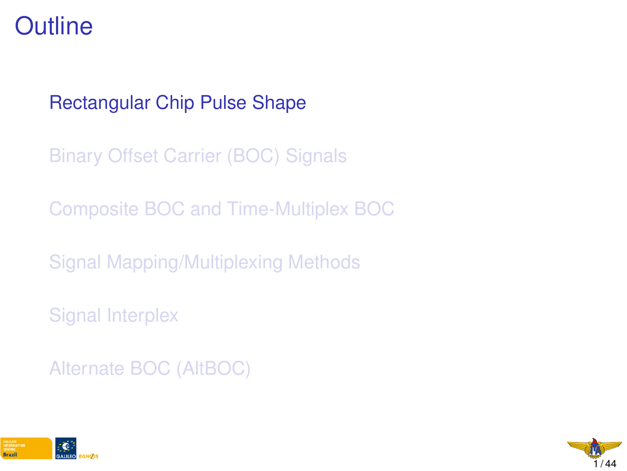### <span id="page-1-0"></span>**Outline**

#### [Rectangular Chip Pulse Shape](#page-1-0)

[Binary Offset Carrier \(BOC\) Signals](#page-6-0)

[Composite BOC and Time-Multiplex BOC](#page-18-0)

[Signal Mapping/Multiplexing Methods](#page-27-0)

[Signal Interplex](#page-29-0)

[Alternate BOC \(AltBOC\)](#page-39-0)



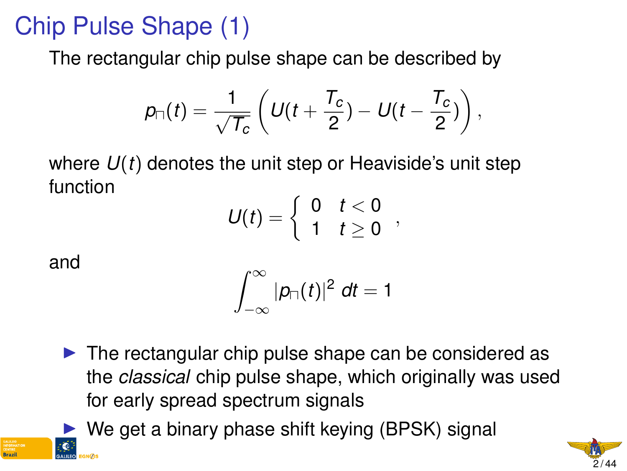# Chip Pulse Shape (1)

The rectangular chip pulse shape can be described by

$$
p_{\Box}(t)=\frac{1}{\sqrt{T_c}}\left(U(t+\frac{T_c}{2})-U(t-\frac{T_c}{2})\right),\,
$$

where *U*(*t*) denotes the unit step or Heaviside's unit step function

$$
U(t)=\left\{\begin{array}{ll}0 & t<0\\1 & t\geq 0\end{array}\right.,
$$

and

$$
\int_{-\infty}^{\infty} |p_{\square}(t)|^2 \, dt = 1
$$

- $\triangleright$  The rectangular chip pulse shape can be considered as the *classical* chip pulse shape, which originally was used for early spread spectrum signals
- $\triangleright$  We get a binary phase shift keying (BPSK) signal

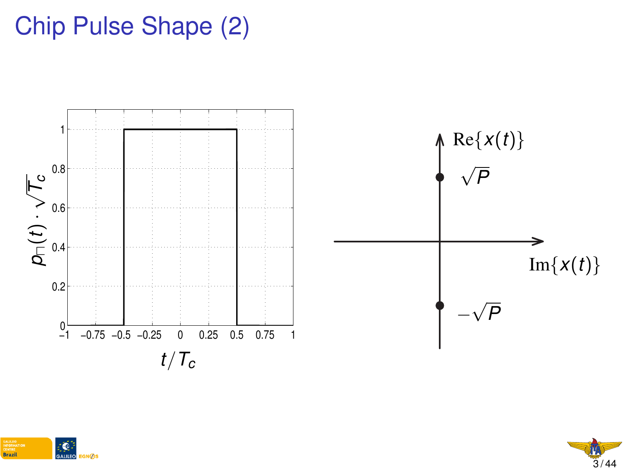# Chip Pulse Shape (2)





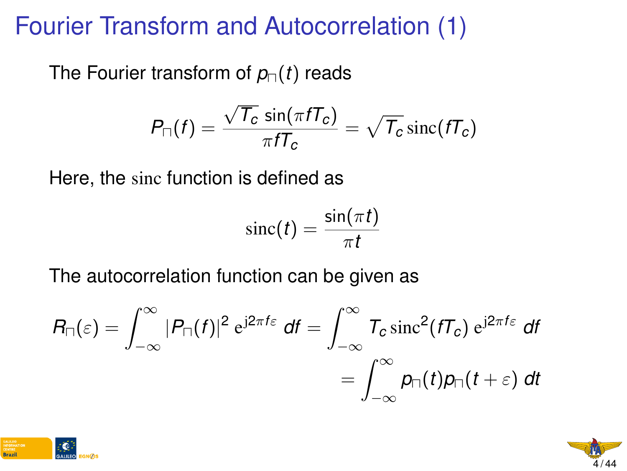### Fourier Transform and Autocorrelation (1)

The Fourier transform of  $p_{\Box}(t)$  reads

$$
P_{\Box}(f) = \frac{\sqrt{T_c} \sin(\pi f T_c)}{\pi f T_c} = \sqrt{T_c} \operatorname{sinc}(f T_c)
$$

Here, the sinc function is defined as

$$
\mathrm{sinc}(t) = \frac{\sin(\pi t)}{\pi t}
$$

The autocorrelation function can be given as

$$
R_{\Box}(\varepsilon) = \int_{-\infty}^{\infty} |P_{\Box}(f)|^2 e^{j2\pi f\varepsilon} df = \int_{-\infty}^{\infty} T_c \operatorname{sinc}^2(fT_c) e^{j2\pi f\varepsilon} df
$$
  
= 
$$
\int_{-\infty}^{\infty} p_{\Box}(t) p_{\Box}(t+\varepsilon) dt
$$



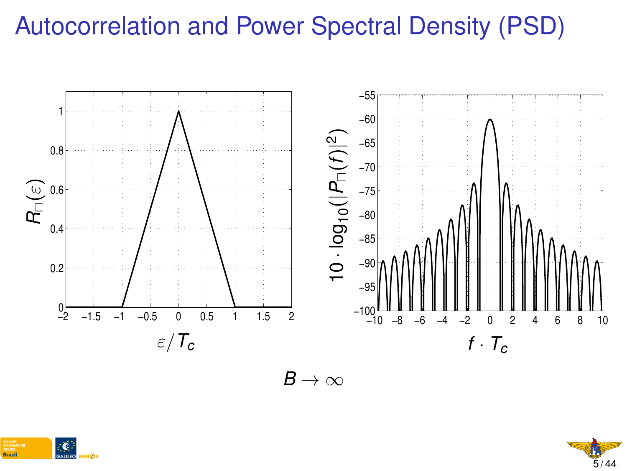# Autocorrelation and Power Spectral Density (PSD)



 $B\to\infty$ 



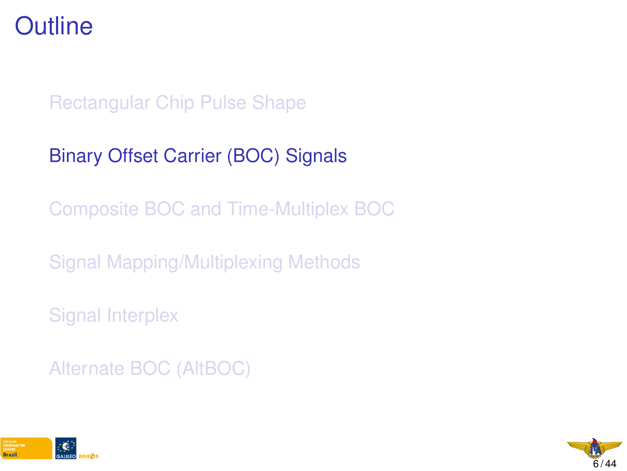### <span id="page-6-0"></span>**Outline**

#### [Rectangular Chip Pulse Shape](#page-1-0)

#### [Binary Offset Carrier \(BOC\) Signals](#page-6-0)

[Composite BOC and Time-Multiplex BOC](#page-18-0)

[Signal Mapping/Multiplexing Methods](#page-27-0)

[Signal Interplex](#page-29-0)

[Alternate BOC \(AltBOC\)](#page-39-0)



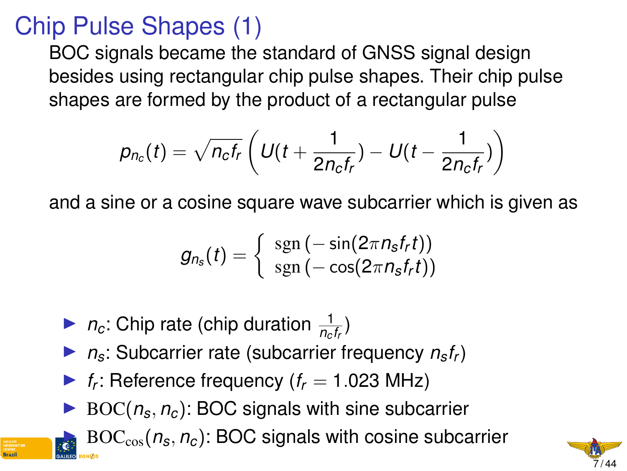# Chip Pulse Shapes (1)

BOC signals became the standard of GNSS signal design besides using rectangular chip pulse shapes. Their chip pulse shapes are formed by the product of a rectangular pulse

$$
p_{n_c}(t) = \sqrt{n_c f_r} \left( U(t + \frac{1}{2n_c f_r}) - U(t - \frac{1}{2n_c f_r}) \right)
$$

and a sine or a cosine square wave subcarrier which is given as

$$
g_{n_{\boldsymbol{s}}}(t)=\left\{\begin{array}{l}{\rm sgn}\left(-\sin(2\pi n_{\boldsymbol{s}}f_{\boldsymbol{r}}t)\right)\\ {\rm sgn}\left(-\cos(2\pi n_{\boldsymbol{s}}f_{\boldsymbol{r}}t)\right)\end{array}\right.
$$

- $\blacktriangleright$  *n<sub>c</sub>*: Chip rate (chip duration  $\frac{1}{n_c f_r}$ )
- $\triangleright$  *n<sub>s</sub>*: Subcarrier rate (subcarrier frequency  $n_s f_r$ )
- **F**<sub>*f*</sub>: Reference frequency ( $f_r = 1.023$  MHz)
- $\triangleright$  BOC( $n_s$ ,  $n_c$ ): BOC signals with sine subcarrier

 $\text{BOC}_{\cos}(n_s, n_c)$ : BOC signals with cosine subcarrier

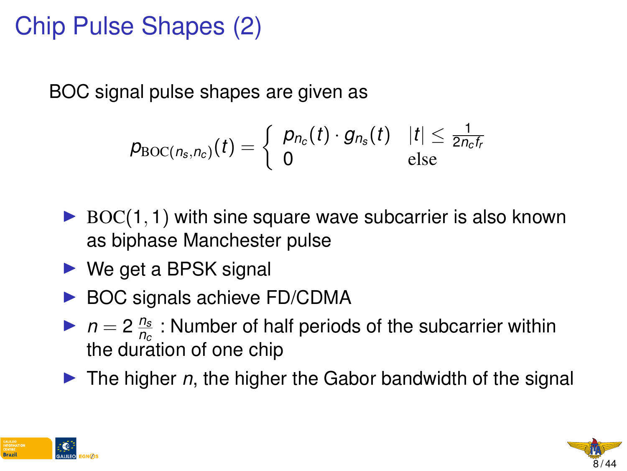# Chip Pulse Shapes (2)

BOC signal pulse shapes are given as

$$
p_{\text{BOC}(n_s,n_c)}(t) = \left\{ \begin{array}{ll} p_{n_c}(t) \cdot g_{n_s}(t) & |t| \leq \frac{1}{2n_c t_r} \\ 0 & \text{else} \end{array} \right.
$$

- $\triangleright$  BOC(1, 1) with sine square wave subcarrier is also known as biphase Manchester pulse
- $\triangleright$  We get a BPSK signal
- $\triangleright$  BOC signals achieve FD/CDMA
- $\triangleright$  *n* = 2 $\frac{n_s}{n_s}$ *nc* : Number of half periods of the subcarrier within the duration of one chip
- If The higher *n*, the higher the Gabor bandwidth of the signal



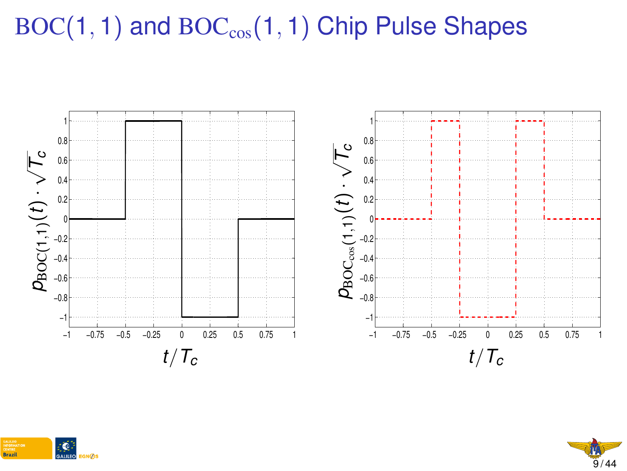# $BOC(1, 1)$  and  $BOC<sub>cos</sub>(1, 1)$  Chip Pulse Shapes





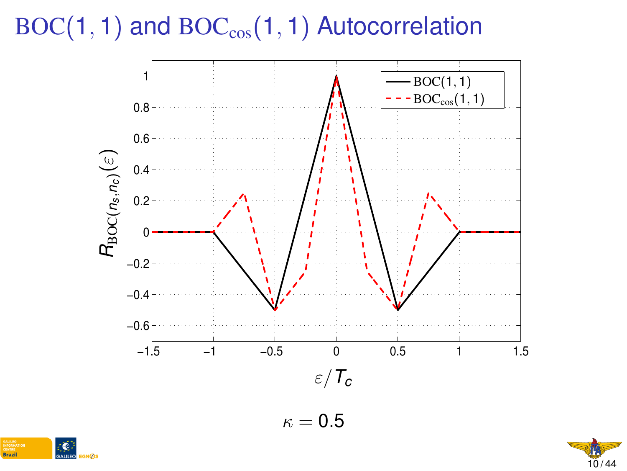$BOC(1, 1)$  and  $BOC<sub>cos</sub>(1, 1)$  Autocorrelation



 $\kappa = 0.5$ 



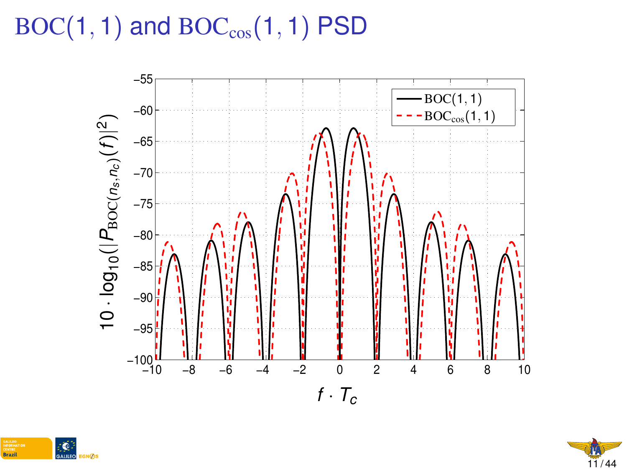# $BOC(1, 1)$  and  $BOC_{cos}(1, 1)$  PSD





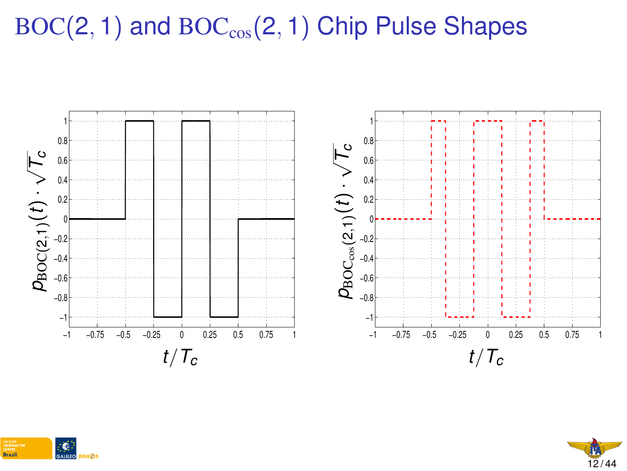# $BOC(2, 1)$  and  $BOC_{cos}(2, 1)$  Chip Pulse Shapes





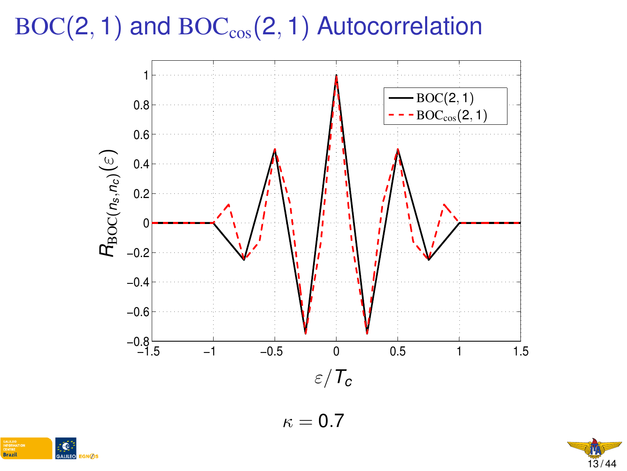$BOC(2, 1)$  and  $BOC_{cos}(2, 1)$  Autocorrelation



 $\kappa = 0.7$ 



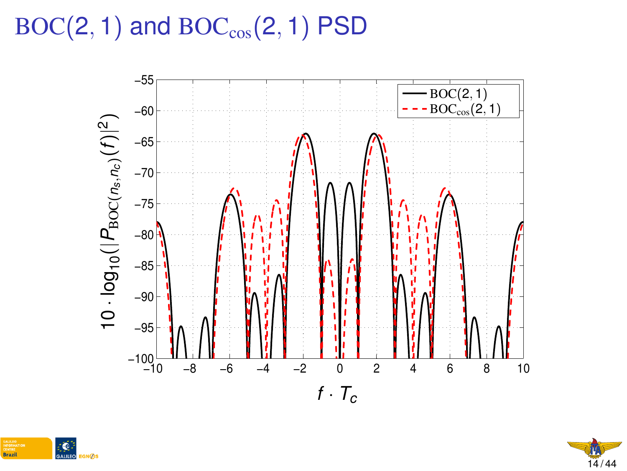# $BOC(2, 1)$  and  $BOC_{cos}(2, 1)$  PSD





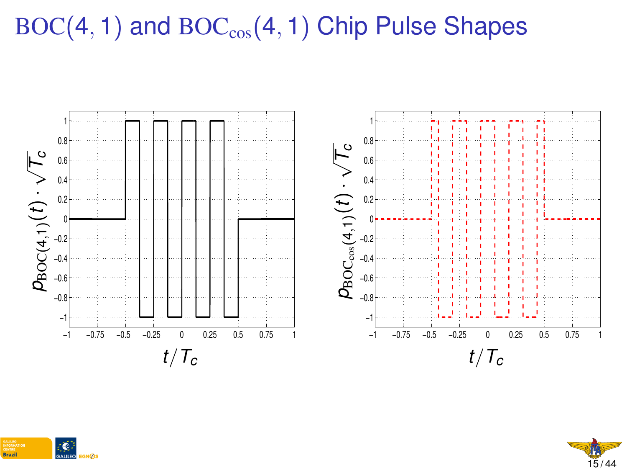# $BOC(4, 1)$  and  $BOC<sub>cos</sub>(4, 1)$  Chip Pulse Shapes





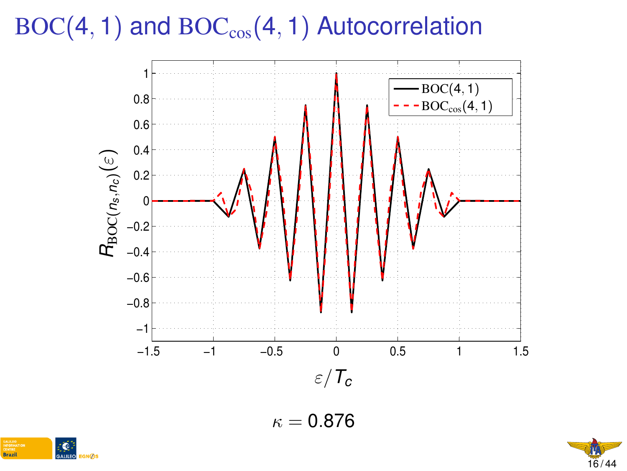$BOC(4, 1)$  and  $BOC<sub>cos</sub>(4, 1)$  Autocorrelation



 $\kappa = 0.876$ 



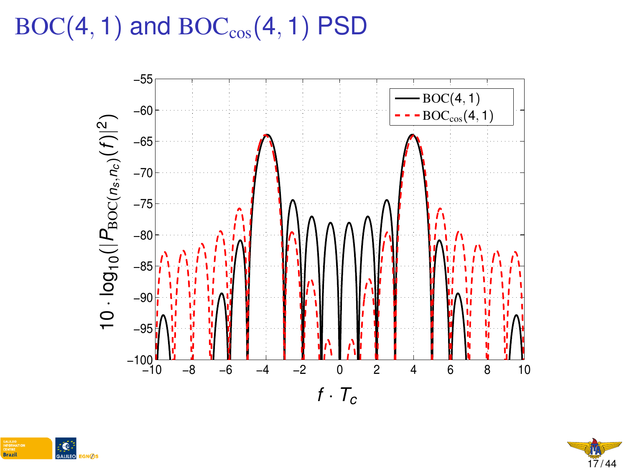# $BOC(4, 1)$  and  $BOC_{cos}(4, 1)$  PSD





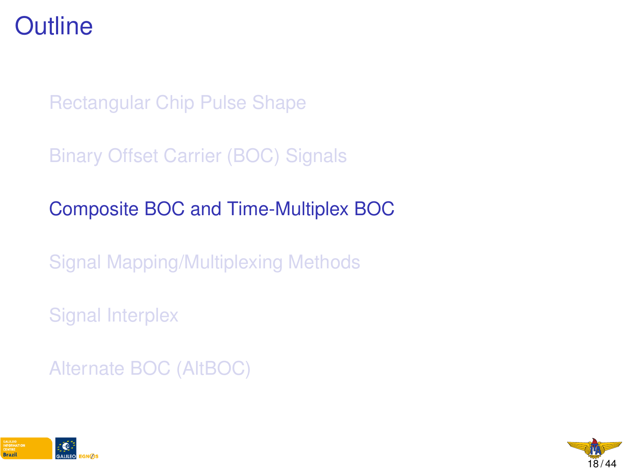### <span id="page-18-0"></span>**Outline**

[Rectangular Chip Pulse Shape](#page-1-0)

[Binary Offset Carrier \(BOC\) Signals](#page-6-0)

[Composite BOC and Time-Multiplex BOC](#page-18-0)

[Signal Mapping/Multiplexing Methods](#page-27-0)

[Signal Interplex](#page-29-0)

[Alternate BOC \(AltBOC\)](#page-39-0)



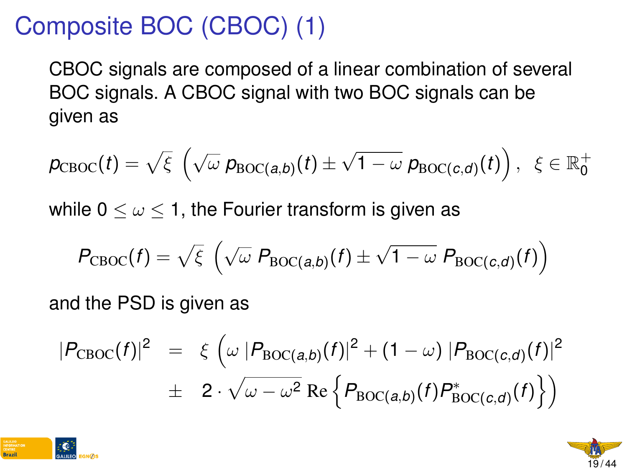# Composite BOC (CBOC) (1)

CBOC signals are composed of a linear combination of several BOC signals. A CBOC signal with two BOC signals can be given as

$$
p_{\textrm{CBOC}}(t) = \sqrt{\xi}\; \left(\sqrt{\omega}\; p_{\textrm{BOC}(a,b)}(t) \pm \sqrt{1-\omega}\; p_{\textrm{BOC}(c,d)}(t)\right),\; \; \xi \in \mathbb{R}_0^+
$$

while  $0 \leq \omega \leq 1$ , the Fourier transform is given as

$$
P_{\text{CBOC}}(f) = \sqrt{\xi} \left( \sqrt{\omega} \ P_{\text{BOC}(a,b)}(f) \pm \sqrt{1 - \omega} \ P_{\text{BOC}(c,d)}(f) \right)
$$

and the PSD is given as

$$
|P_{\text{CBOC}}(f)|^2 = \xi \left( \omega | P_{\text{BOC}(a,b)}(f) |^2 + (1 - \omega) | P_{\text{BOC}(c,d)}(f) |^2 \right)
$$
  

$$
\pm 2 \cdot \sqrt{\omega - \omega^2} \operatorname{Re} \left\{ P_{\text{BOC}(a,b)}(f) P_{\text{BOC}(c,d)}^*(f) \right\} \right)
$$



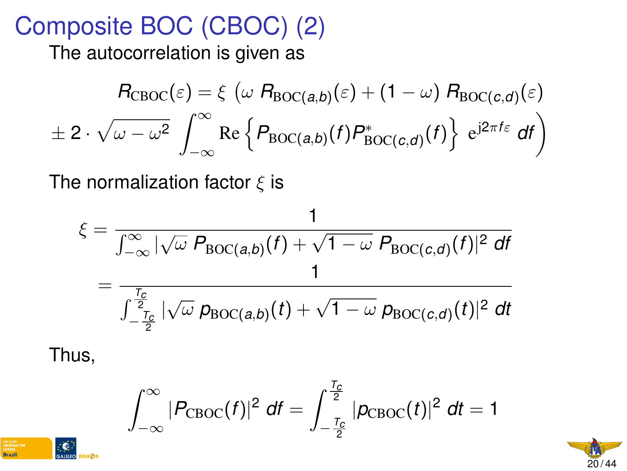### Composite BOC (CBOC) (2)

The autocorrelation is given as

$$
R_{\text{CBOC}}(\varepsilon) = \xi \left( \omega R_{\text{BOC}(a,b)}(\varepsilon) + (1 - \omega) R_{\text{BOC}(c,d)}(\varepsilon) \right)
$$

$$
\pm 2 \cdot \sqrt{\omega - \omega^2} \int_{-\infty}^{\infty} \text{Re} \left\{ P_{\text{BOC}(a,b)}(f) P_{\text{BOC}(c,d)}^*(f) \right\} e^{j2\pi f \varepsilon} df \right)
$$

The normalization factor  $\xi$  is

$$
\xi = \frac{1}{\int_{-\infty}^{\infty} |\sqrt{\omega} P_{\text{BOC}(a,b)}(f) + \sqrt{1 - \omega} P_{\text{BOC}(c,d)}(f)|^2 \, df}
$$

$$
= \frac{1}{\int_{-\frac{T_c}{2}}^{\frac{T_c}{2}} |\sqrt{\omega} P_{\text{BOC}(a,b)}(t) + \sqrt{1 - \omega} P_{\text{BOC}(c,d)}(t)|^2 \, dt}
$$

Thus,

$$
\int_{-\infty}^{\infty} |P_{\text{CBOC}}(f)|^2 \, df = \int_{-\frac{T_c}{2}}^{\frac{T_c}{2}} |p_{\text{CBOC}}(t)|^2 \, dt = 1
$$



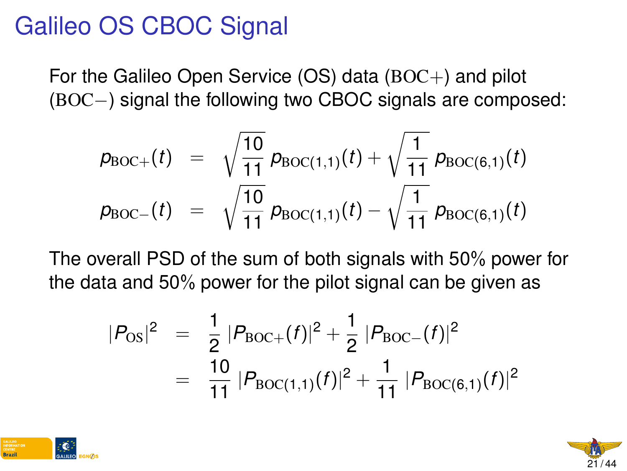### Galileo OS CBOC Signal

For the Galileo Open Service (OS) data  $(BOC+)$  and pilot (BOC−) signal the following two CBOC signals are composed:

$$
p_{\text{BOC+}}(t) = \sqrt{\frac{10}{11}} p_{\text{BOC}(1,1)}(t) + \sqrt{\frac{1}{11}} p_{\text{BOC}(6,1)}(t)
$$
  
\n
$$
p_{\text{BOC-}}(t) = \sqrt{\frac{10}{11}} p_{\text{BOC}(1,1)}(t) - \sqrt{\frac{1}{11}} p_{\text{BOC}(6,1)}(t)
$$

The overall PSD of the sum of both signals with 50% power for the data and 50% power for the pilot signal can be given as

$$
|P_{OS}|^2 = \frac{1}{2} |P_{BOC+}(f)|^2 + \frac{1}{2} |P_{BOC-}(f)|^2
$$
  
= 
$$
\frac{10}{11} |P_{BOC(1,1)}(f)|^2 + \frac{1}{11} |P_{BOC(6,1)}(f)|^2
$$



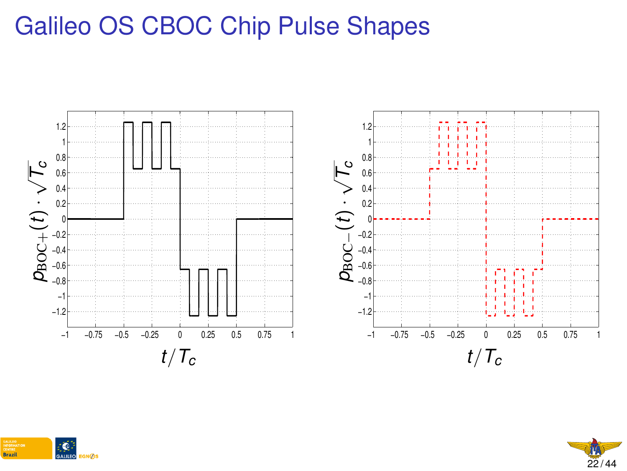# Galileo OS CBOC Chip Pulse Shapes







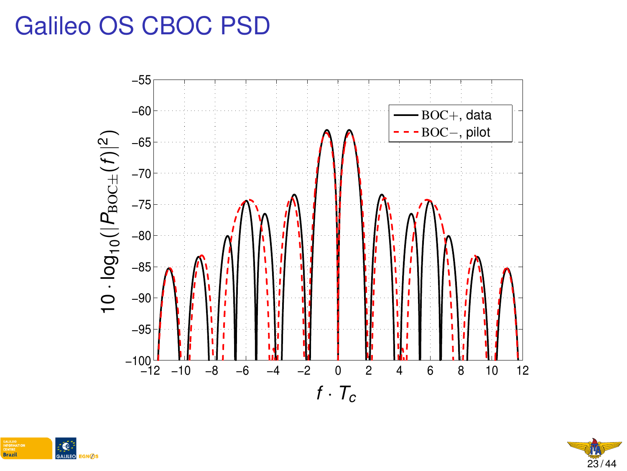### Galileo OS CBOC PSD





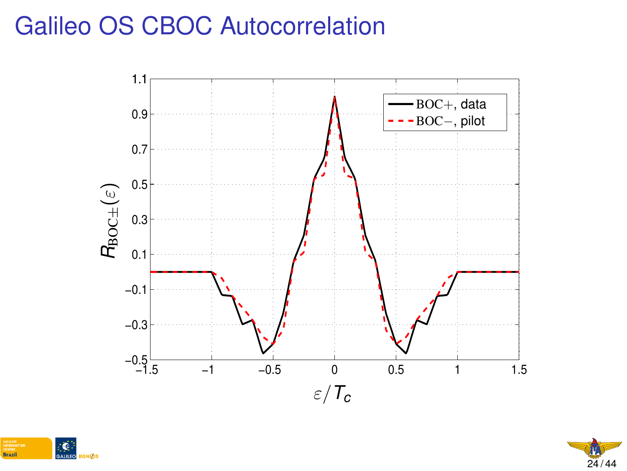### Galileo OS CBOC Autocorrelation





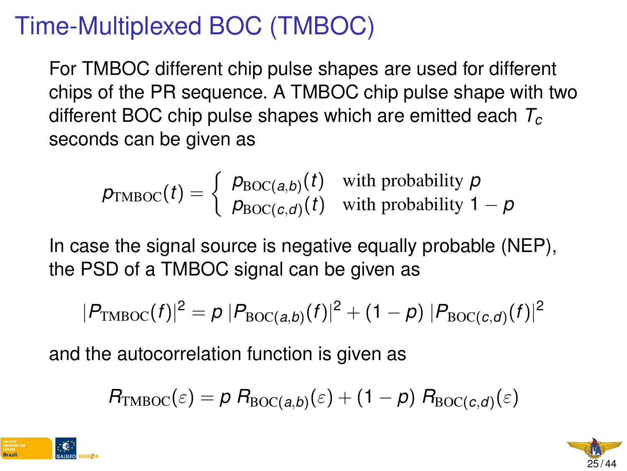# Time-Multiplexed BOC (TMBOC)

For TMBOC different chip pulse shapes are used for different chips of the PR sequence. A TMBOC chip pulse shape with two different BOC chip pulse shapes which are emitted each *T<sup>c</sup>* seconds can be given as

$$
\rho_{\text{TMBOC}}(t) = \begin{cases} \rho_{\text{BOC}(a,b)}(t) & \text{with probability } p \\ \rho_{\text{BOC}(c,d)}(t) & \text{with probability } 1 - p \end{cases}
$$

In case the signal source is negative equally probable (NEP), the PSD of a TMBOC signal can be given as

$$
|P_{\text{TMBOC}}(f)|^2 = p |P_{\text{BOC}(a,b)}(f)|^2 + (1-p) |P_{\text{BOC}(c,d)}(f)|^2
$$

and the autocorrelation function is given as

$$
R_{\mathrm{TMBOC}}(\varepsilon) = p R_{\mathrm{BOC}(a,b)}(\varepsilon) + (1-p) R_{\mathrm{BOC}(c,d)}(\varepsilon)
$$



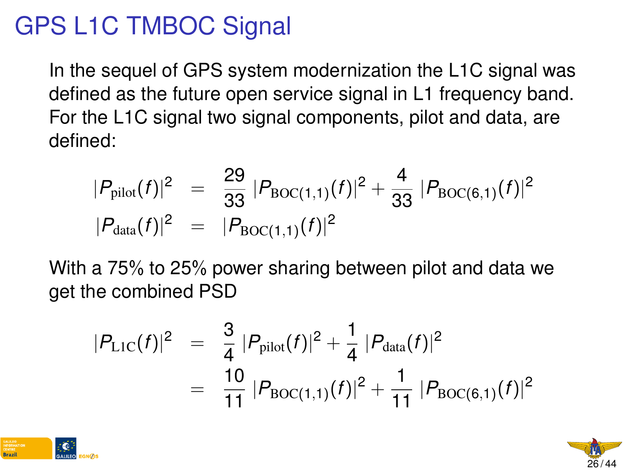# GPS L1C TMBOC Signal

In the sequel of GPS system modernization the L1C signal was defined as the future open service signal in L1 frequency band. For the L1C signal two signal components, pilot and data, are defined:

$$
|P_{\text{pilot}}(f)|^2 = \frac{29}{33} |P_{\text{BOC}(1,1)}(f)|^2 + \frac{4}{33} |P_{\text{BOC}(6,1)}(f)|^2
$$
  

$$
|P_{\text{data}}(f)|^2 = |P_{\text{BOC}(1,1)}(f)|^2
$$

With a 75% to 25% power sharing between pilot and data we get the combined PSD

$$
|P_{\text{L1C}}(f)|^2 = \frac{3}{4} |P_{\text{pilot}}(f)|^2 + \frac{1}{4} |P_{\text{data}}(f)|^2
$$
  
= 
$$
\frac{10}{11} |P_{\text{BOC}(1,1)}(f)|^2 + \frac{1}{11} |P_{\text{BOC}(6,1)}(f)|^2
$$



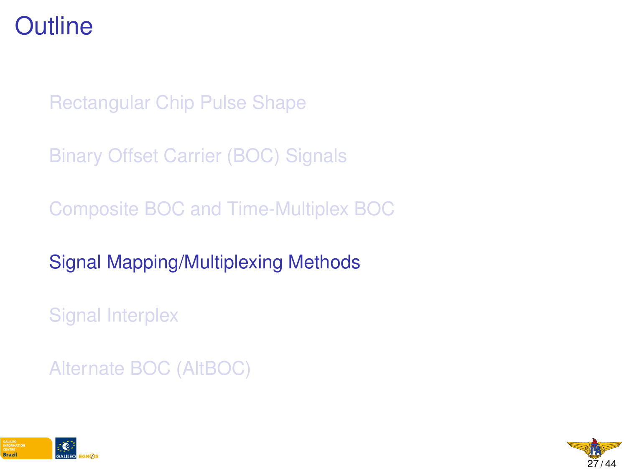### <span id="page-27-0"></span>**Outline**

[Rectangular Chip Pulse Shape](#page-1-0)

[Binary Offset Carrier \(BOC\) Signals](#page-6-0)

[Composite BOC and Time-Multiplex BOC](#page-18-0)

[Signal Mapping/Multiplexing Methods](#page-27-0)

[Signal Interplex](#page-29-0)

[Alternate BOC \(AltBOC\)](#page-39-0)



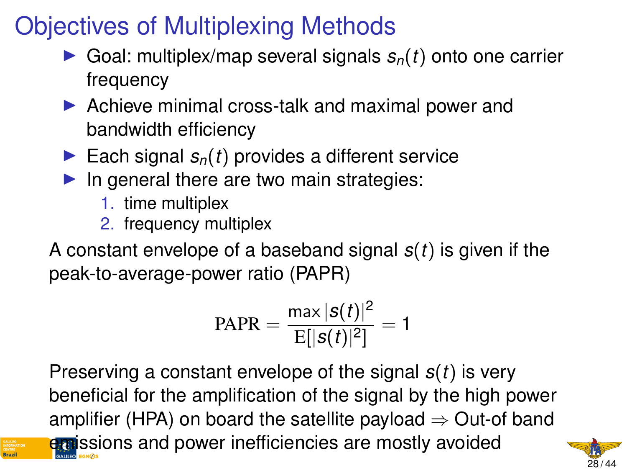# Objectives of Multiplexing Methods

- $\triangleright$  Goal: multiplex/map several signals  $s_n(t)$  onto one carrier frequency
- $\triangleright$  Achieve minimal cross-talk and maximal power and bandwidth efficiency
- Each signal  $s_n(t)$  provides a different service
- $\blacktriangleright$  In general there are two main strategies:
	- 1. time multiplex
	- 2. frequency multiplex

A constant envelope of a baseband signal *s*(*t*) is given if the peak-to-average-power ratio (PAPR)

$$
PAPR = \frac{\max |s(t)|^2}{E[|s(t)|^2]} = 1
$$

Preserving a constant envelope of the signal *s*(*t*) is very beneficial for the amplification of the signal by the high power amplifier (HPA) on board the satellite payload  $\Rightarrow$  Out-of band emissions and power inefficiencies are mostly avoided

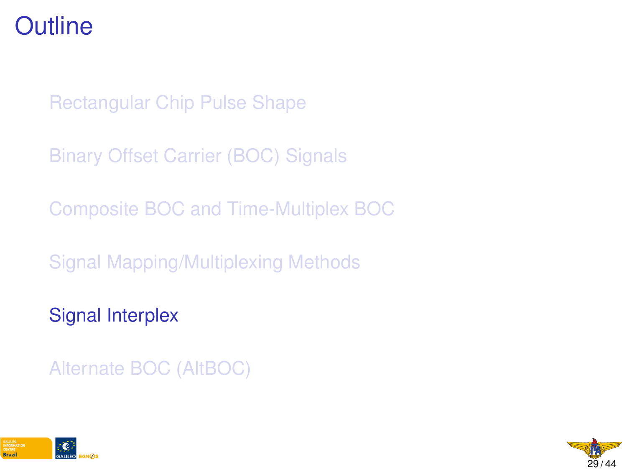### <span id="page-29-0"></span>**Outline**

[Rectangular Chip Pulse Shape](#page-1-0)

[Binary Offset Carrier \(BOC\) Signals](#page-6-0)

[Composite BOC and Time-Multiplex BOC](#page-18-0)

[Signal Mapping/Multiplexing Methods](#page-27-0)

[Signal Interplex](#page-29-0)

[Alternate BOC \(AltBOC\)](#page-39-0)



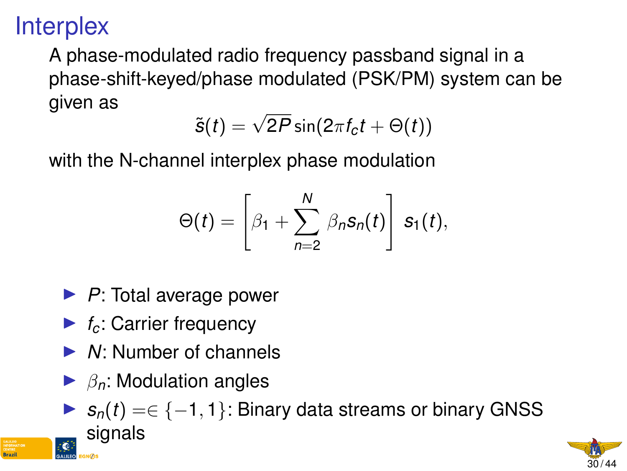# **Interplex**

A phase-modulated radio frequency passband signal in a phase-shift-keyed/phase modulated (PSK/PM) system can be given as

$$
\tilde{\mathbf{s}}(t) = \sqrt{2P} \sin(2\pi f_c t + \Theta(t))
$$

with the N-channel interplex phase modulation

$$
\Theta(t) = \left[\beta_1 + \sum_{n=2}^N \beta_n s_n(t)\right] s_1(t),
$$

- ▶ *P*: Total average power
- $\blacktriangleright$  *f<sub>c</sub>*: Carrier frequency
- ▶ *N*: Number of channels
- $\blacktriangleright$   $\beta_n$ : Modulation angles



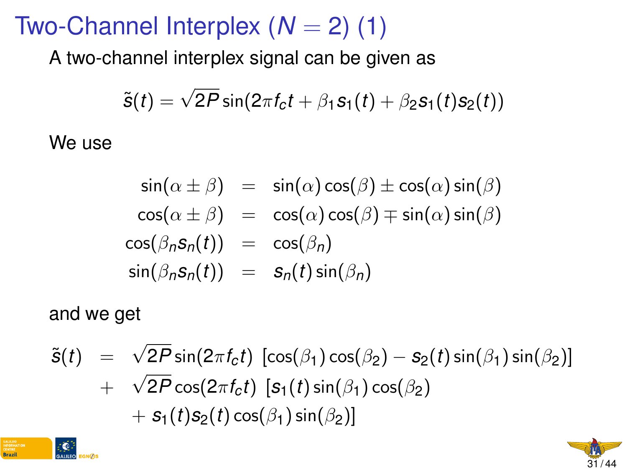### Two-Channel Interplex  $(N = 2)$  (1)

A two-channel interplex signal can be given as

$$
\tilde{s}(t) = \sqrt{2P}\sin(2\pi f_c t + \beta_1 s_1(t) + \beta_2 s_1(t)s_2(t))
$$

We use

$$
\sin(\alpha \pm \beta) = \sin(\alpha)\cos(\beta) \pm \cos(\alpha)\sin(\beta) \n\cos(\alpha \pm \beta) = \cos(\alpha)\cos(\beta) \mp \sin(\alpha)\sin(\beta) \n\cos(\beta_n s_n(t)) = \cos(\beta_n) \n\sin(\beta_n s_n(t)) = s_n(t) \sin(\beta_n)
$$

and we get

**Brazil** 

$$
\tilde{s}(t) = \sqrt{2P} \sin(2\pi f_c t) [\cos(\beta_1) \cos(\beta_2) - s_2(t) \sin(\beta_1) \sin(\beta_2)]
$$
  
+ 
$$
\sqrt{2P} \cos(2\pi f_c t) [\mathbf{s}_1(t) \sin(\beta_1) \cos(\beta_2) + s_1(t) s_2(t) \cos(\beta_1) \sin(\beta_2)]
$$

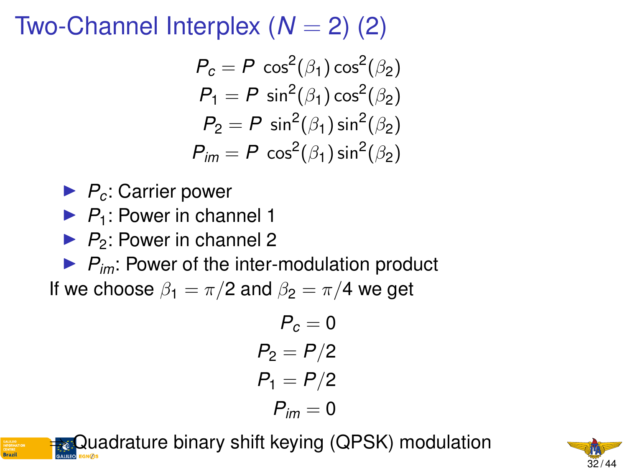# Two-Channel Interplex  $(N = 2)$  (2)

$$
P_c = P \cos^2(\beta_1) \cos^2(\beta_2)
$$
  
\n
$$
P_1 = P \sin^2(\beta_1) \cos^2(\beta_2)
$$
  
\n
$$
P_2 = P \sin^2(\beta_1) \sin^2(\beta_2)
$$
  
\n
$$
P_{im} = P \cos^2(\beta_1) \sin^2(\beta_2)
$$

- ▶ *P<sub>c</sub>*: Carrier power
- $\blacktriangleright$   $P_1$ : Power in channel 1
- $\blacktriangleright$  *P*<sub>2</sub>: Power in channel 2

 $\blacktriangleright$   $P_{im}$ : Power of the inter-modulation product If we choose  $\beta_1 = \pi/2$  and  $\beta_2 = \pi/4$  we get

$$
P_c = 0
$$
  
\n
$$
P_2 = P/2
$$
  
\n
$$
P_1 = P/2
$$
  
\n
$$
P_{im} = 0
$$

Quadrature binary shift keying (QPSK) modulation

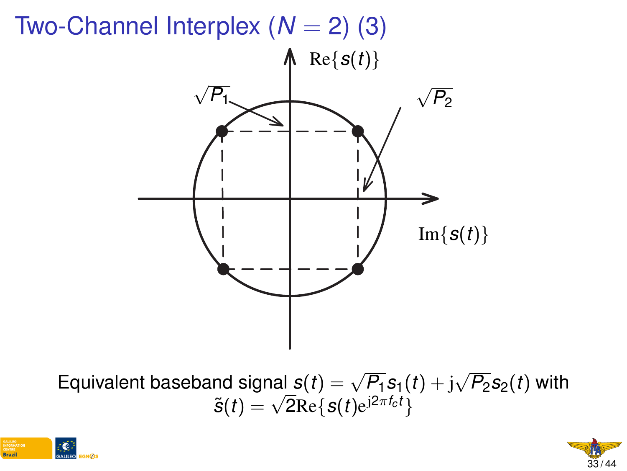

Equivalent baseband signal  $s(t) = \sqrt{P_1} s_1(t) + j$  $P_1$  signal  $s(t) = \sqrt{P_1} s_1(t) + \mathrm{j} \sqrt{P_2} s_2(t)$  with  $\tilde{s}(t) = \sqrt{2} \mathrm{Re}\{s(t) \mathrm{e}^{\mathrm{j} 2 \pi f_c t}\}$ 



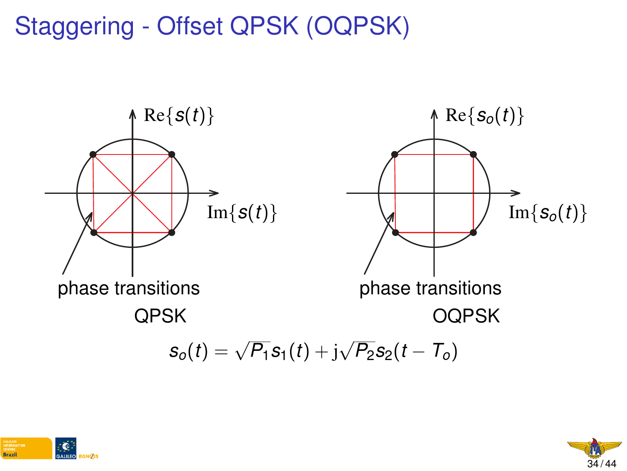Staggering - Offset QPSK (OQPSK)





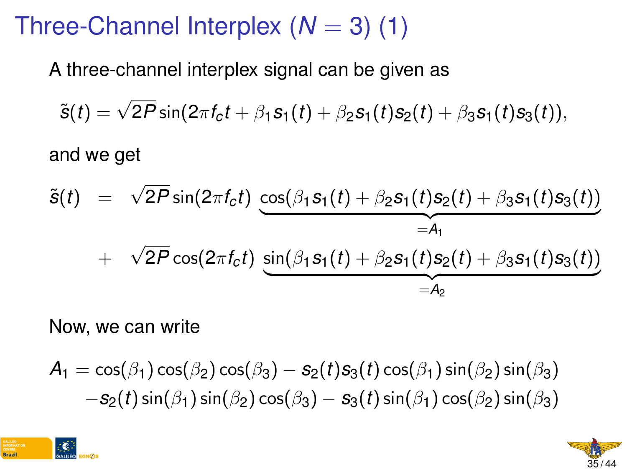# Three-Channel Interplex  $(N = 3)$  (1)

A three-channel interplex signal can be given as

$$
\tilde{s}(t) = \sqrt{2P} \sin(2\pi f_c t + \beta_1 s_1(t) + \beta_2 s_1(t) s_2(t) + \beta_3 s_1(t) s_3(t)),
$$

and we get

$$
\tilde{s}(t) = \sqrt{2P} \sin(2\pi f_c t) \underbrace{\cos(\beta_1 s_1(t) + \beta_2 s_1(t) s_2(t) + \beta_3 s_1(t) s_3(t))}_{=A_1} + \sqrt{2P} \cos(2\pi f_c t) \underbrace{\sin(\beta_1 s_1(t) + \beta_2 s_1(t) s_2(t) + \beta_3 s_1(t) s_3(t))}_{=A_2}
$$

Now, we can write

$$
A_1 = \cos(\beta_1)\cos(\beta_2)\cos(\beta_3) - s_2(t)s_3(t)\cos(\beta_1)\sin(\beta_2)\sin(\beta_3) - s_2(t)\sin(\beta_1)\sin(\beta_2)\cos(\beta_3) - s_3(t)\sin(\beta_1)\cos(\beta_2)\sin(\beta_3)
$$



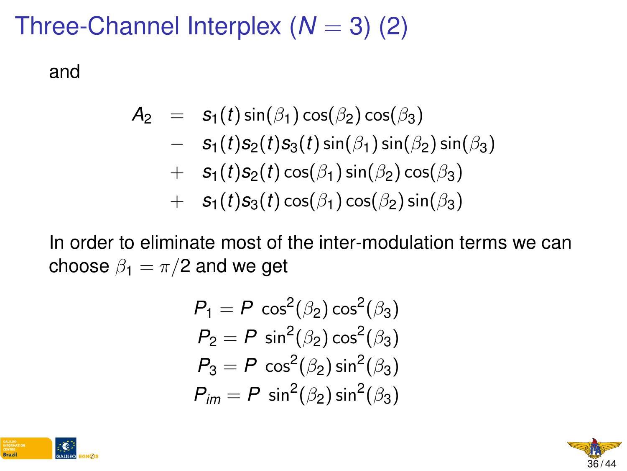# Three-Channel Interplex  $(N = 3)$  (2)

and

$$
A_2 = s_1(t) \sin(\beta_1) \cos(\beta_2) \cos(\beta_3)
$$
  
\n
$$
- s_1(t) s_2(t) s_3(t) \sin(\beta_1) \sin(\beta_2) \sin(\beta_3)
$$
  
\n
$$
+ s_1(t) s_2(t) \cos(\beta_1) \sin(\beta_2) \cos(\beta_3)
$$
  
\n
$$
+ s_1(t) s_3(t) \cos(\beta_1) \cos(\beta_2) \sin(\beta_3)
$$

In order to eliminate most of the inter-modulation terms we can choose  $\beta_1 = \pi/2$  and we get

$$
P_1 = P \cos^2(\beta_2) \cos^2(\beta_3)
$$
  
\n
$$
P_2 = P \sin^2(\beta_2) \cos^2(\beta_3)
$$
  
\n
$$
P_3 = P \cos^2(\beta_2) \sin^2(\beta_3)
$$
  
\n
$$
P_{im} = P \sin^2(\beta_2) \sin^2(\beta_3)
$$



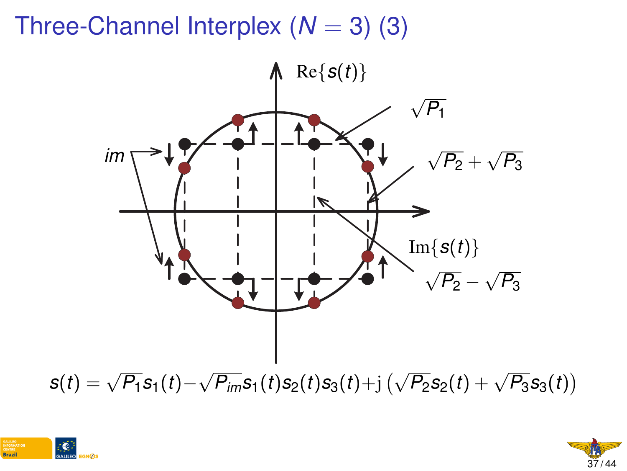# Three-Channel Interplex  $(N = 3)$  (3)





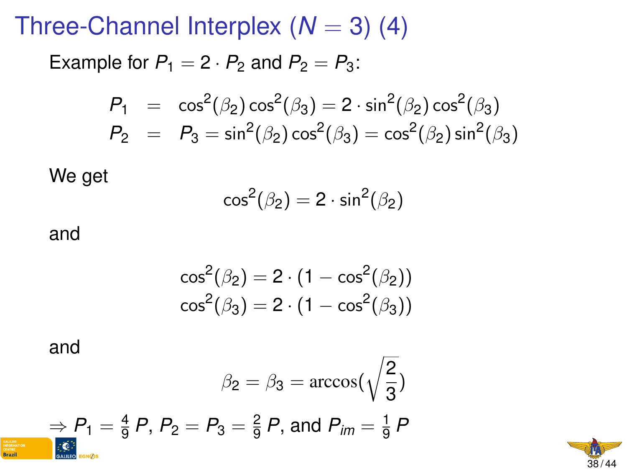Three-Channel Interplex  $(N = 3)$  (4)

Example for  $P_1 = 2 \cdot P_2$  and  $P_2 = P_3$ :

$$
P_1 = \cos^2(\beta_2)\cos^2(\beta_3) = 2 \cdot \sin^2(\beta_2)\cos^2(\beta_3)
$$
  
\n
$$
P_2 = P_3 = \sin^2(\beta_2)\cos^2(\beta_3) = \cos^2(\beta_2)\sin^2(\beta_3)
$$

We get

$$
\cos^2(\beta_2)=2\cdot\sin^2(\beta_2)
$$

and

$$
\begin{aligned} &\cos^2(\beta_2)=2\cdot(1-\cos^2(\beta_2))\\ &\cos^2(\beta_3)=2\cdot(1-\cos^2(\beta_3)) \end{aligned}
$$

and

**Brazil** 

$$
\beta_2 = \beta_3 = \arccos(\sqrt{\frac{2}{3}})
$$
\n
$$
\Rightarrow P_1 = \frac{4}{9}P, P_2 = P_3 = \frac{2}{9}P, \text{ and } P_{\text{im}} = \frac{1}{9}P
$$

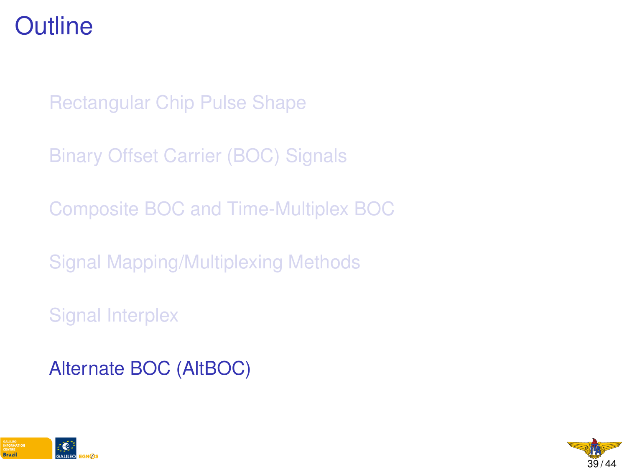### <span id="page-39-0"></span>**Outline**

[Rectangular Chip Pulse Shape](#page-1-0)

[Binary Offset Carrier \(BOC\) Signals](#page-6-0)

[Composite BOC and Time-Multiplex BOC](#page-18-0)

[Signal Mapping/Multiplexing Methods](#page-27-0)

[Signal Interplex](#page-29-0)

[Alternate BOC \(AltBOC\)](#page-39-0)



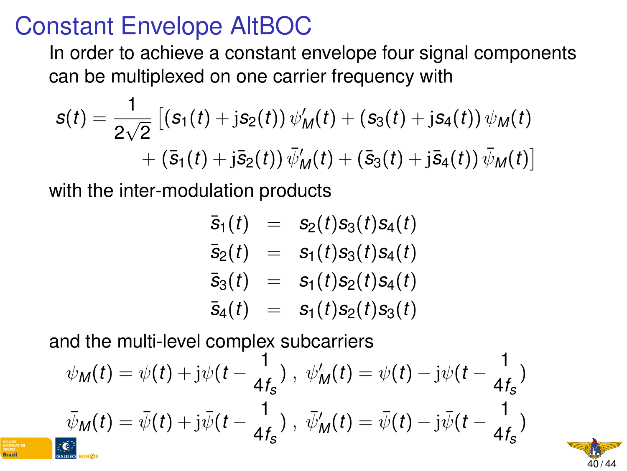#### Constant Envelope AltBOC

In order to achieve a constant envelope four signal components can be multiplexed on one carrier frequency with

$$
s(t) = \frac{1}{2\sqrt{2}} \left[ \left( s_1(t) + j s_2(t) \right) \psi'_M(t) + \left( s_3(t) + j s_4(t) \right) \psi_M(t) + \left( \bar{s}_1(t) + j \bar{s}_2(t) \right) \bar{\psi}'_M(t) + \left( \bar{s}_3(t) + j \bar{s}_4(t) \right) \bar{\psi}_M(t) \right]
$$

with the inter-modulation products

$$
\begin{array}{rcl}\n\bar{s}_1(t) & = & s_2(t)s_3(t)s_4(t) \\
\bar{s}_2(t) & = & s_1(t)s_3(t)s_4(t) \\
\bar{s}_3(t) & = & s_1(t)s_2(t)s_4(t) \\
\bar{s}_4(t) & = & s_1(t)s_2(t)s_3(t)\n\end{array}
$$

and the multi-level complex subcarriers

$$
\psi_M(t) = \psi(t) + j\psi(t - \frac{1}{4f_s}), \quad \psi'_M(t) = \psi(t) - j\psi(t - \frac{1}{4f_s})
$$

$$
\bar{\psi}_M(t) = \bar{\psi}(t) + j\bar{\psi}(t - \frac{1}{4f_s}), \quad \bar{\psi}'_M(t) = \bar{\psi}(t) - j\bar{\psi}(t - \frac{1}{4f_s})
$$

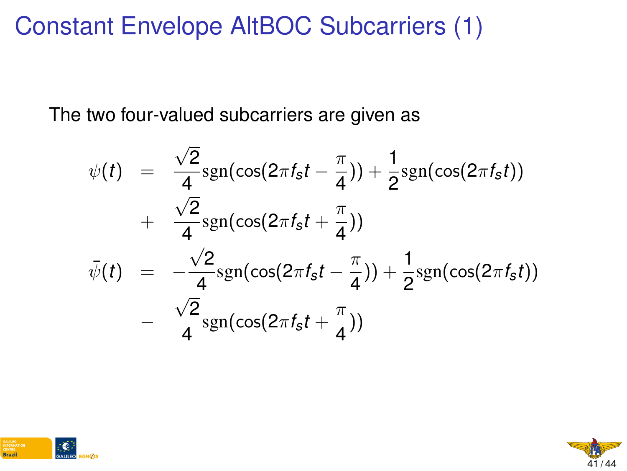# Constant Envelope AltBOC Subcarriers (1)

The two four-valued subcarriers are given as

$$
\psi(t) = \frac{\sqrt{2}}{4} \text{sgn}(\cos(2\pi f_s t - \frac{\pi}{4})) + \frac{1}{2} \text{sgn}(\cos(2\pi f_s t)) \n+ \frac{\sqrt{2}}{4} \text{sgn}(\cos(2\pi f_s t + \frac{\pi}{4})) \n\bar{\psi}(t) = -\frac{\sqrt{2}}{4} \text{sgn}(\cos(2\pi f_s t - \frac{\pi}{4})) + \frac{1}{2} \text{sgn}(\cos(2\pi f_s t)) \n- \frac{\sqrt{2}}{4} \text{sgn}(\cos(2\pi f_s t + \frac{\pi}{4}))
$$



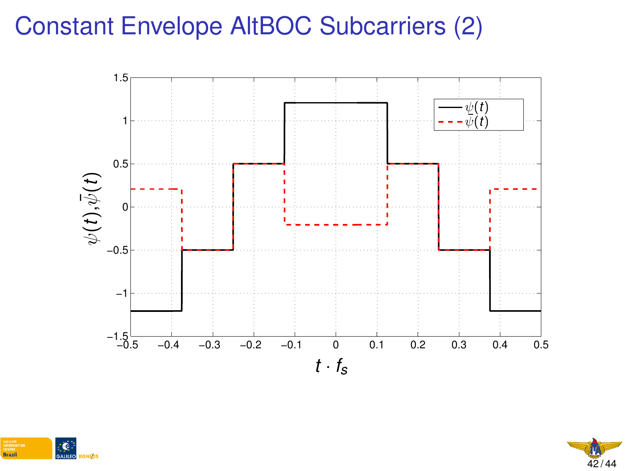### Constant Envelope AltBOC Subcarriers (2)





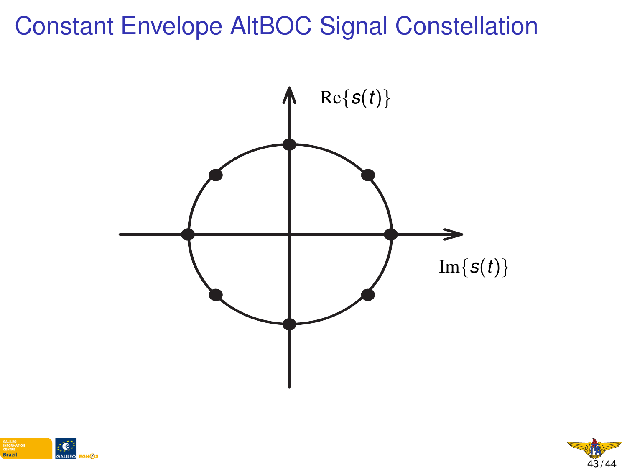#### Constant Envelope AltBOC Signal Constellation